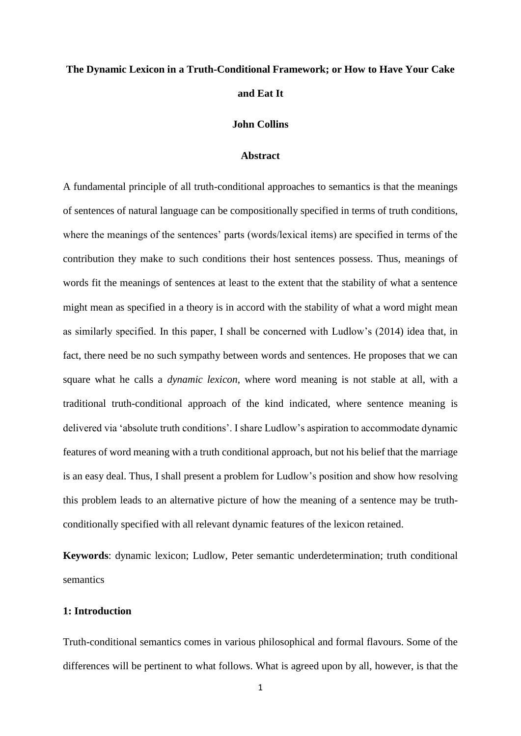# **The Dynamic Lexicon in a Truth-Conditional Framework; or How to Have Your Cake and Eat It**

# **John Collins**

### **Abstract**

A fundamental principle of all truth-conditional approaches to semantics is that the meanings of sentences of natural language can be compositionally specified in terms of truth conditions, where the meanings of the sentences' parts (words/lexical items) are specified in terms of the contribution they make to such conditions their host sentences possess. Thus, meanings of words fit the meanings of sentences at least to the extent that the stability of what a sentence might mean as specified in a theory is in accord with the stability of what a word might mean as similarly specified. In this paper, I shall be concerned with Ludlow's (2014) idea that, in fact, there need be no such sympathy between words and sentences. He proposes that we can square what he calls a *dynamic lexicon*, where word meaning is not stable at all, with a traditional truth-conditional approach of the kind indicated, where sentence meaning is delivered via 'absolute truth conditions'. I share Ludlow's aspiration to accommodate dynamic features of word meaning with a truth conditional approach, but not his belief that the marriage is an easy deal. Thus, I shall present a problem for Ludlow's position and show how resolving this problem leads to an alternative picture of how the meaning of a sentence may be truthconditionally specified with all relevant dynamic features of the lexicon retained.

**Keywords**: dynamic lexicon; Ludlow, Peter semantic underdetermination; truth conditional semantics

## **1: Introduction**

Truth-conditional semantics comes in various philosophical and formal flavours. Some of the differences will be pertinent to what follows. What is agreed upon by all, however, is that the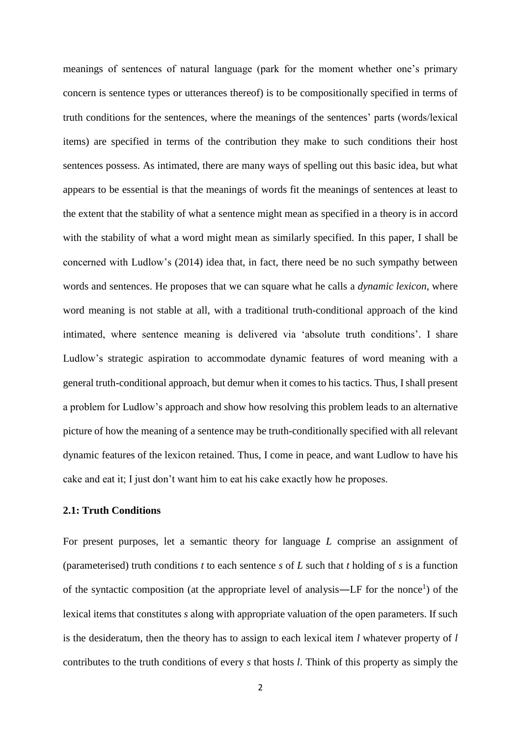meanings of sentences of natural language (park for the moment whether one's primary concern is sentence types or utterances thereof) is to be compositionally specified in terms of truth conditions for the sentences, where the meanings of the sentences' parts (words/lexical items) are specified in terms of the contribution they make to such conditions their host sentences possess. As intimated, there are many ways of spelling out this basic idea, but what appears to be essential is that the meanings of words fit the meanings of sentences at least to the extent that the stability of what a sentence might mean as specified in a theory is in accord with the stability of what a word might mean as similarly specified. In this paper, I shall be concerned with Ludlow's (2014) idea that, in fact, there need be no such sympathy between words and sentences. He proposes that we can square what he calls a *dynamic lexicon*, where word meaning is not stable at all, with a traditional truth-conditional approach of the kind intimated, where sentence meaning is delivered via 'absolute truth conditions'. I share Ludlow's strategic aspiration to accommodate dynamic features of word meaning with a general truth-conditional approach, but demur when it comes to his tactics. Thus, I shall present a problem for Ludlow's approach and show how resolving this problem leads to an alternative picture of how the meaning of a sentence may be truth-conditionally specified with all relevant dynamic features of the lexicon retained. Thus, I come in peace, and want Ludlow to have his cake and eat it; I just don't want him to eat his cake exactly how he proposes.

#### **2.1: Truth Conditions**

For present purposes, let a semantic theory for language *L* comprise an assignment of (parameterised) truth conditions *t* to each sentence *s* of *L* such that *t* holding of *s* is a function of the syntactic composition (at the appropriate level of analysis—LF for the nonce<sup>1</sup>) of the lexical items that constitutes *s* along with appropriate valuation of the open parameters. If such is the desideratum, then the theory has to assign to each lexical item *l* whatever property of *l* contributes to the truth conditions of every *s* that hosts *l*. Think of this property as simply the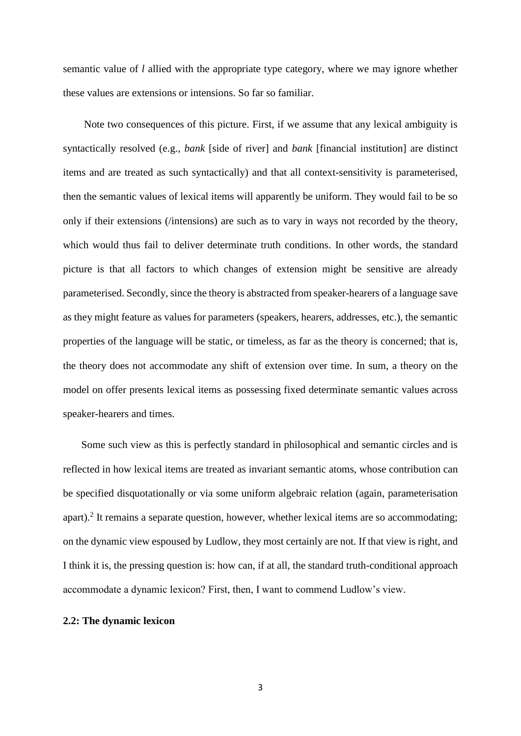semantic value of *l* allied with the appropriate type category, where we may ignore whether these values are extensions or intensions. So far so familiar.

 Note two consequences of this picture. First, if we assume that any lexical ambiguity is syntactically resolved (e.g., *bank* [side of river] and *bank* [financial institution] are distinct items and are treated as such syntactically) and that all context-sensitivity is parameterised, then the semantic values of lexical items will apparently be uniform. They would fail to be so only if their extensions (/intensions) are such as to vary in ways not recorded by the theory, which would thus fail to deliver determinate truth conditions. In other words, the standard picture is that all factors to which changes of extension might be sensitive are already parameterised. Secondly, since the theory is abstracted from speaker-hearers of a language save as they might feature as values for parameters (speakers, hearers, addresses, etc.), the semantic properties of the language will be static, or timeless, as far as the theory is concerned; that is, the theory does not accommodate any shift of extension over time. In sum, a theory on the model on offer presents lexical items as possessing fixed determinate semantic values across speaker-hearers and times.

 Some such view as this is perfectly standard in philosophical and semantic circles and is reflected in how lexical items are treated as invariant semantic atoms, whose contribution can be specified disquotationally or via some uniform algebraic relation (again, parameterisation apart).<sup>2</sup> It remains a separate question, however, whether lexical items are so accommodating; on the dynamic view espoused by Ludlow, they most certainly are not. If that view is right, and I think it is, the pressing question is: how can, if at all, the standard truth-conditional approach accommodate a dynamic lexicon? First, then, I want to commend Ludlow's view.

## **2.2: The dynamic lexicon**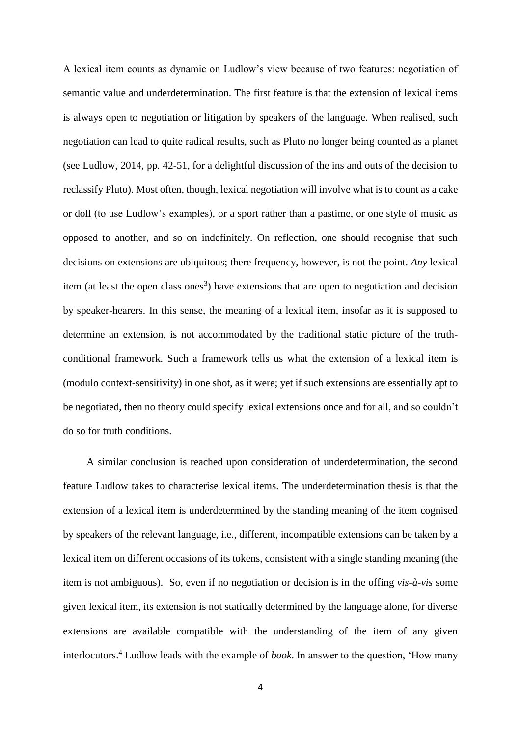A lexical item counts as dynamic on Ludlow's view because of two features: negotiation of semantic value and underdetermination. The first feature is that the extension of lexical items is always open to negotiation or litigation by speakers of the language. When realised, such negotiation can lead to quite radical results, such as Pluto no longer being counted as a planet (see Ludlow, 2014, pp. 42-51, for a delightful discussion of the ins and outs of the decision to reclassify Pluto). Most often, though, lexical negotiation will involve what is to count as a cake or doll (to use Ludlow's examples), or a sport rather than a pastime, or one style of music as opposed to another, and so on indefinitely. On reflection, one should recognise that such decisions on extensions are ubiquitous; there frequency, however, is not the point. *Any* lexical item (at least the open class ones<sup>3</sup>) have extensions that are open to negotiation and decision by speaker-hearers. In this sense, the meaning of a lexical item, insofar as it is supposed to determine an extension, is not accommodated by the traditional static picture of the truthconditional framework. Such a framework tells us what the extension of a lexical item is (modulo context-sensitivity) in one shot, as it were; yet if such extensions are essentially apt to be negotiated, then no theory could specify lexical extensions once and for all, and so couldn't do so for truth conditions.

 A similar conclusion is reached upon consideration of underdetermination, the second feature Ludlow takes to characterise lexical items. The underdetermination thesis is that the extension of a lexical item is underdetermined by the standing meaning of the item cognised by speakers of the relevant language, i.e., different, incompatible extensions can be taken by a lexical item on different occasions of its tokens, consistent with a single standing meaning (the item is not ambiguous). So, even if no negotiation or decision is in the offing *vis-à-vis* some given lexical item, its extension is not statically determined by the language alone, for diverse extensions are available compatible with the understanding of the item of any given interlocutors. <sup>4</sup> Ludlow leads with the example of *book*. In answer to the question, 'How many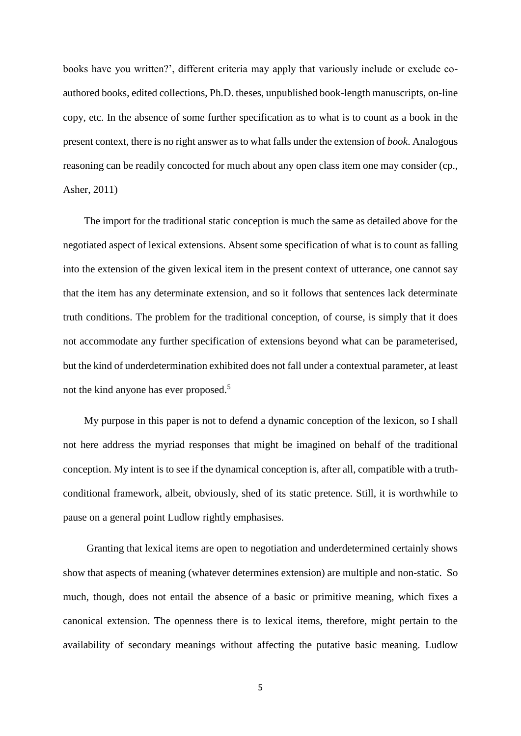books have you written?', different criteria may apply that variously include or exclude coauthored books, edited collections, Ph.D. theses, unpublished book-length manuscripts, on-line copy, etc. In the absence of some further specification as to what is to count as a book in the present context, there is no right answer as to what falls under the extension of *book*. Analogous reasoning can be readily concocted for much about any open class item one may consider (cp., Asher, 2011)

 The import for the traditional static conception is much the same as detailed above for the negotiated aspect of lexical extensions. Absent some specification of what is to count as falling into the extension of the given lexical item in the present context of utterance, one cannot say that the item has any determinate extension, and so it follows that sentences lack determinate truth conditions. The problem for the traditional conception, of course, is simply that it does not accommodate any further specification of extensions beyond what can be parameterised, but the kind of underdetermination exhibited does not fall under a contextual parameter, at least not the kind anyone has ever proposed.<sup>5</sup>

 My purpose in this paper is not to defend a dynamic conception of the lexicon, so I shall not here address the myriad responses that might be imagined on behalf of the traditional conception. My intent is to see if the dynamical conception is, after all, compatible with a truthconditional framework, albeit, obviously, shed of its static pretence. Still, it is worthwhile to pause on a general point Ludlow rightly emphasises.

 Granting that lexical items are open to negotiation and underdetermined certainly shows show that aspects of meaning (whatever determines extension) are multiple and non-static. So much, though, does not entail the absence of a basic or primitive meaning, which fixes a canonical extension. The openness there is to lexical items, therefore, might pertain to the availability of secondary meanings without affecting the putative basic meaning. Ludlow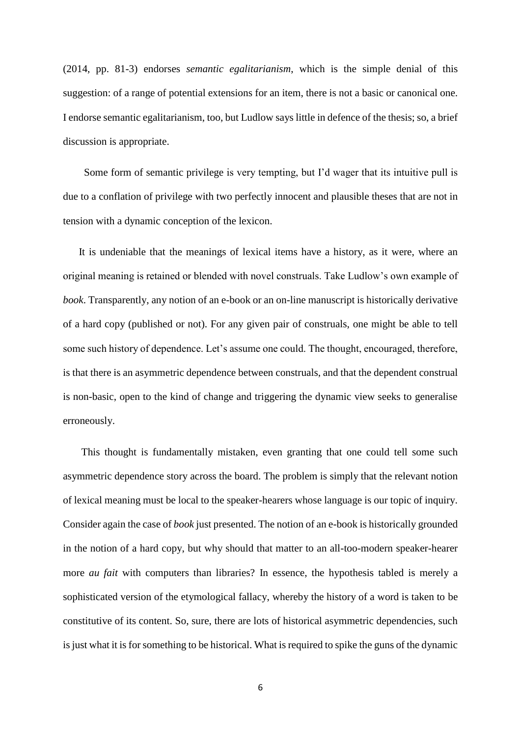(2014, pp. 81-3) endorses *semantic egalitarianism*, which is the simple denial of this suggestion: of a range of potential extensions for an item, there is not a basic or canonical one. I endorse semantic egalitarianism, too, but Ludlow says little in defence of the thesis; so, a brief discussion is appropriate.

 Some form of semantic privilege is very tempting, but I'd wager that its intuitive pull is due to a conflation of privilege with two perfectly innocent and plausible theses that are not in tension with a dynamic conception of the lexicon.

 It is undeniable that the meanings of lexical items have a history, as it were, where an original meaning is retained or blended with novel construals. Take Ludlow's own example of *book*. Transparently, any notion of an e-book or an on-line manuscript is historically derivative of a hard copy (published or not). For any given pair of construals, one might be able to tell some such history of dependence. Let's assume one could. The thought, encouraged, therefore, is that there is an asymmetric dependence between construals, and that the dependent construal is non-basic, open to the kind of change and triggering the dynamic view seeks to generalise erroneously.

 This thought is fundamentally mistaken, even granting that one could tell some such asymmetric dependence story across the board. The problem is simply that the relevant notion of lexical meaning must be local to the speaker-hearers whose language is our topic of inquiry. Consider again the case of *book* just presented. The notion of an e-book is historically grounded in the notion of a hard copy, but why should that matter to an all-too-modern speaker-hearer more *au fait* with computers than libraries? In essence, the hypothesis tabled is merely a sophisticated version of the etymological fallacy, whereby the history of a word is taken to be constitutive of its content. So, sure, there are lots of historical asymmetric dependencies, such is just what it is for something to be historical. What is required to spike the guns of the dynamic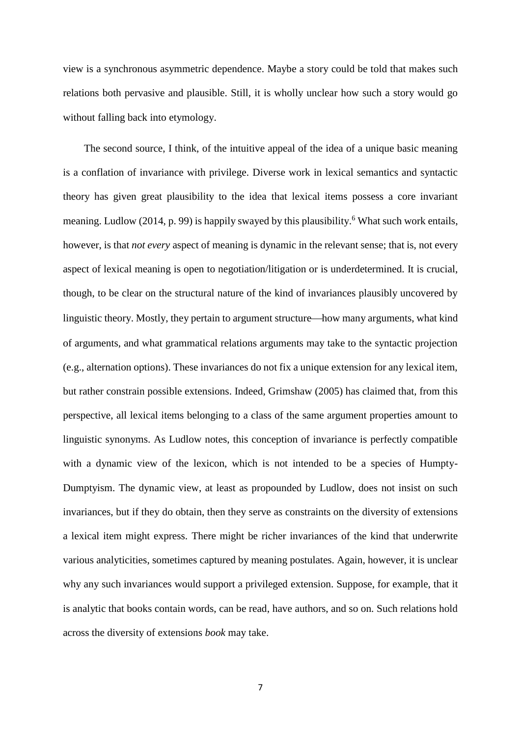view is a synchronous asymmetric dependence. Maybe a story could be told that makes such relations both pervasive and plausible. Still, it is wholly unclear how such a story would go without falling back into etymology.

 The second source, I think, of the intuitive appeal of the idea of a unique basic meaning is a conflation of invariance with privilege. Diverse work in lexical semantics and syntactic theory has given great plausibility to the idea that lexical items possess a core invariant meaning. Ludlow (2014, p. 99) is happily swayed by this plausibility.<sup>6</sup> What such work entails, however, is that *not every* aspect of meaning is dynamic in the relevant sense; that is, not every aspect of lexical meaning is open to negotiation/litigation or is underdetermined. It is crucial, though, to be clear on the structural nature of the kind of invariances plausibly uncovered by linguistic theory. Mostly, they pertain to argument structure—how many arguments, what kind of arguments, and what grammatical relations arguments may take to the syntactic projection (e.g., alternation options). These invariances do not fix a unique extension for any lexical item, but rather constrain possible extensions. Indeed, Grimshaw (2005) has claimed that, from this perspective, all lexical items belonging to a class of the same argument properties amount to linguistic synonyms. As Ludlow notes, this conception of invariance is perfectly compatible with a dynamic view of the lexicon, which is not intended to be a species of Humpty-Dumptyism. The dynamic view, at least as propounded by Ludlow, does not insist on such invariances, but if they do obtain, then they serve as constraints on the diversity of extensions a lexical item might express. There might be richer invariances of the kind that underwrite various analyticities, sometimes captured by meaning postulates. Again, however, it is unclear why any such invariances would support a privileged extension. Suppose, for example, that it is analytic that books contain words, can be read, have authors, and so on. Such relations hold across the diversity of extensions *book* may take.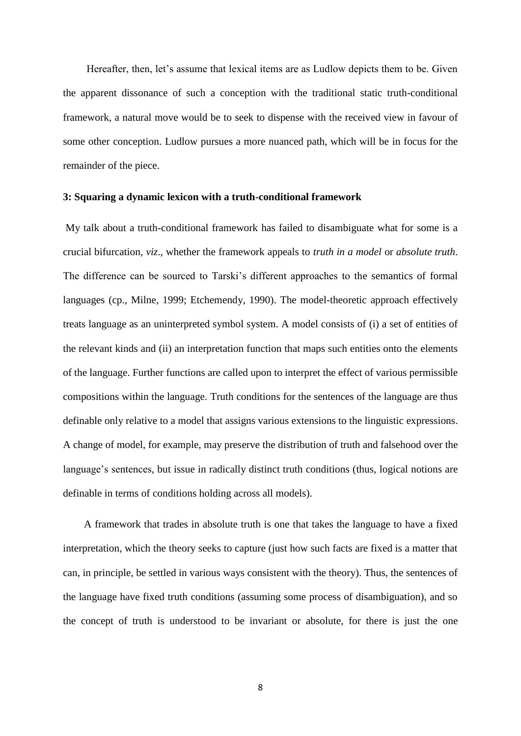Hereafter, then, let's assume that lexical items are as Ludlow depicts them to be. Given the apparent dissonance of such a conception with the traditional static truth-conditional framework, a natural move would be to seek to dispense with the received view in favour of some other conception. Ludlow pursues a more nuanced path, which will be in focus for the remainder of the piece.

#### **3: Squaring a dynamic lexicon with a truth-conditional framework**

My talk about a truth-conditional framework has failed to disambiguate what for some is a crucial bifurcation, *viz*., whether the framework appeals to *truth in a model* or *absolute truth*. The difference can be sourced to Tarski's different approaches to the semantics of formal languages (cp., Milne, 1999; Etchemendy, 1990). The model-theoretic approach effectively treats language as an uninterpreted symbol system. A model consists of (i) a set of entities of the relevant kinds and (ii) an interpretation function that maps such entities onto the elements of the language. Further functions are called upon to interpret the effect of various permissible compositions within the language. Truth conditions for the sentences of the language are thus definable only relative to a model that assigns various extensions to the linguistic expressions. A change of model, for example, may preserve the distribution of truth and falsehood over the language's sentences, but issue in radically distinct truth conditions (thus, logical notions are definable in terms of conditions holding across all models).

 A framework that trades in absolute truth is one that takes the language to have a fixed interpretation, which the theory seeks to capture (just how such facts are fixed is a matter that can, in principle, be settled in various ways consistent with the theory). Thus, the sentences of the language have fixed truth conditions (assuming some process of disambiguation), and so the concept of truth is understood to be invariant or absolute, for there is just the one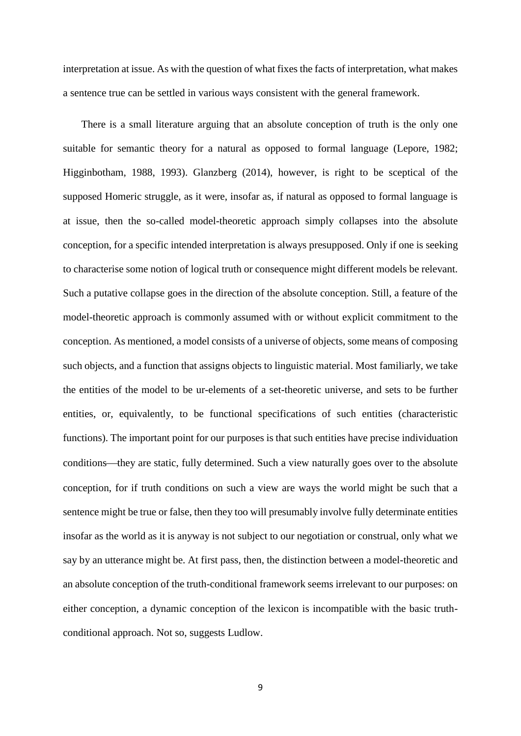interpretation at issue. As with the question of what fixes the facts of interpretation, what makes a sentence true can be settled in various ways consistent with the general framework.

 There is a small literature arguing that an absolute conception of truth is the only one suitable for semantic theory for a natural as opposed to formal language (Lepore, 1982; Higginbotham, 1988, 1993). Glanzberg (2014), however, is right to be sceptical of the supposed Homeric struggle, as it were, insofar as, if natural as opposed to formal language is at issue, then the so-called model-theoretic approach simply collapses into the absolute conception, for a specific intended interpretation is always presupposed. Only if one is seeking to characterise some notion of logical truth or consequence might different models be relevant. Such a putative collapse goes in the direction of the absolute conception. Still, a feature of the model-theoretic approach is commonly assumed with or without explicit commitment to the conception. As mentioned, a model consists of a universe of objects, some means of composing such objects, and a function that assigns objects to linguistic material. Most familiarly, we take the entities of the model to be ur-elements of a set-theoretic universe, and sets to be further entities, or, equivalently, to be functional specifications of such entities (characteristic functions). The important point for our purposes is that such entities have precise individuation conditions—they are static, fully determined. Such a view naturally goes over to the absolute conception, for if truth conditions on such a view are ways the world might be such that a sentence might be true or false, then they too will presumably involve fully determinate entities insofar as the world as it is anyway is not subject to our negotiation or construal, only what we say by an utterance might be. At first pass, then, the distinction between a model-theoretic and an absolute conception of the truth-conditional framework seems irrelevant to our purposes: on either conception, a dynamic conception of the lexicon is incompatible with the basic truthconditional approach. Not so, suggests Ludlow.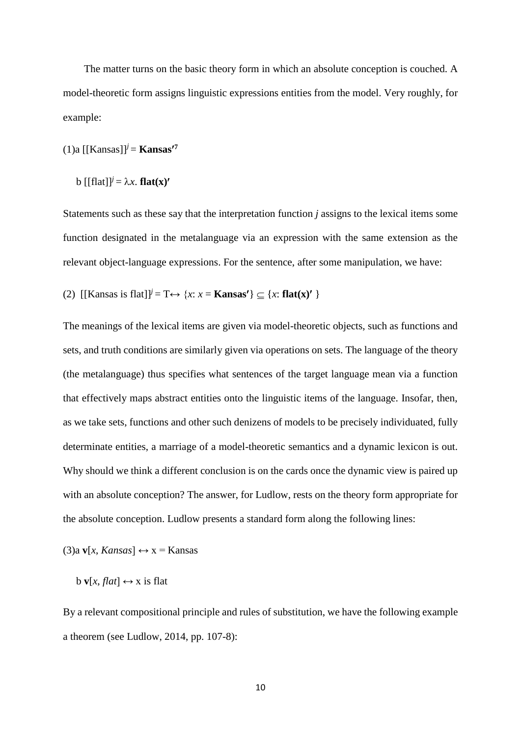The matter turns on the basic theory form in which an absolute conception is couched. A model-theoretic form assigns linguistic expressions entities from the model. Very roughly, for example:

 $(1)$ a [[Kansas]]<sup>*j*</sup> = **Kansas<sup>'7</sup>** 

 $\mathbf{b}$  [[flat]]<sup>*j*</sup> =  $\lambda x$ . **flat(x)'** 

Statements such as these say that the interpretation function *j* assigns to the lexical items some function designated in the metalanguage via an expression with the same extension as the relevant object-language expressions. For the sentence, after some manipulation, we have:

(2)  $[[$ Kansas is flat $]$  $\ddot{y} = T \leftrightarrow \{x: x =$ **Kansas'** $\} \subseteq \{x:$  **flat(x)'**  $\}$ 

The meanings of the lexical items are given via model-theoretic objects, such as functions and sets, and truth conditions are similarly given via operations on sets. The language of the theory (the metalanguage) thus specifies what sentences of the target language mean via a function that effectively maps abstract entities onto the linguistic items of the language. Insofar, then, as we take sets, functions and other such denizens of models to be precisely individuated, fully determinate entities, a marriage of a model-theoretic semantics and a dynamic lexicon is out. Why should we think a different conclusion is on the cards once the dynamic view is paired up with an absolute conception? The answer, for Ludlow, rests on the theory form appropriate for the absolute conception. Ludlow presents a standard form along the following lines:

 $(3)$ a **v**[*x*, *Kansas*]  $\leftrightarrow$  x = Kansas

 $\mathbf{b} \mathbf{v}[x, \text{flat}] \leftrightarrow x \text{ is flat}$ 

By a relevant compositional principle and rules of substitution, we have the following example a theorem (see Ludlow, 2014, pp. 107-8):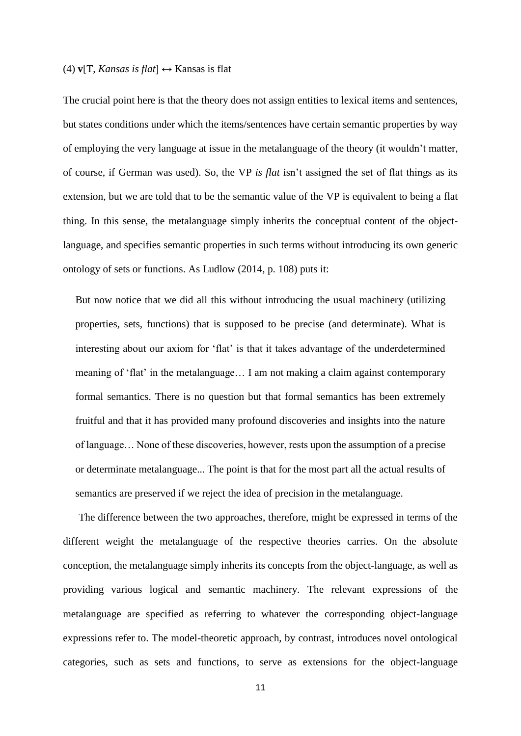## (4)  $\mathbf{v}[T, *K* ansas is flat] \leftrightarrow *K*ansas is flat$

The crucial point here is that the theory does not assign entities to lexical items and sentences, but states conditions under which the items/sentences have certain semantic properties by way of employing the very language at issue in the metalanguage of the theory (it wouldn't matter, of course, if German was used). So, the VP *is flat* isn't assigned the set of flat things as its extension, but we are told that to be the semantic value of the VP is equivalent to being a flat thing. In this sense, the metalanguage simply inherits the conceptual content of the objectlanguage, and specifies semantic properties in such terms without introducing its own generic ontology of sets or functions. As Ludlow (2014, p. 108) puts it:

But now notice that we did all this without introducing the usual machinery (utilizing properties, sets, functions) that is supposed to be precise (and determinate). What is interesting about our axiom for 'flat' is that it takes advantage of the underdetermined meaning of 'flat' in the metalanguage… I am not making a claim against contemporary formal semantics. There is no question but that formal semantics has been extremely fruitful and that it has provided many profound discoveries and insights into the nature of language… None of these discoveries, however, rests upon the assumption of a precise or determinate metalanguage... The point is that for the most part all the actual results of semantics are preserved if we reject the idea of precision in the metalanguage.

 The difference between the two approaches, therefore, might be expressed in terms of the different weight the metalanguage of the respective theories carries. On the absolute conception, the metalanguage simply inherits its concepts from the object-language, as well as providing various logical and semantic machinery. The relevant expressions of the metalanguage are specified as referring to whatever the corresponding object-language expressions refer to. The model-theoretic approach, by contrast, introduces novel ontological categories, such as sets and functions, to serve as extensions for the object-language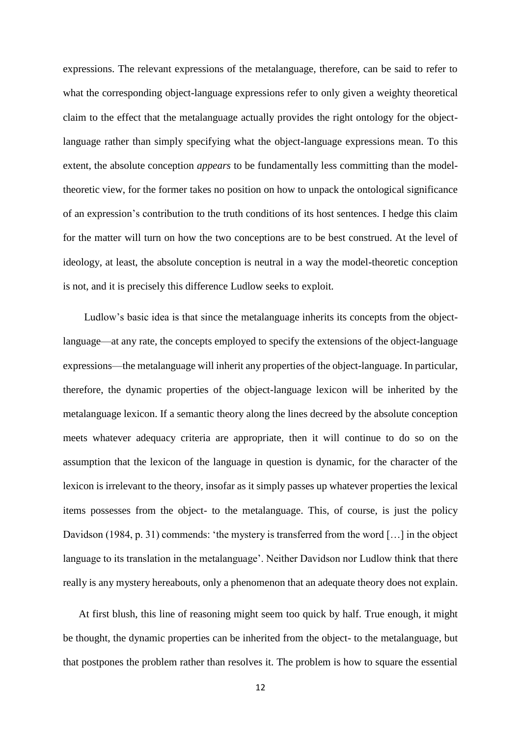expressions. The relevant expressions of the metalanguage, therefore, can be said to refer to what the corresponding object-language expressions refer to only given a weighty theoretical claim to the effect that the metalanguage actually provides the right ontology for the objectlanguage rather than simply specifying what the object-language expressions mean. To this extent, the absolute conception *appears* to be fundamentally less committing than the modeltheoretic view, for the former takes no position on how to unpack the ontological significance of an expression's contribution to the truth conditions of its host sentences. I hedge this claim for the matter will turn on how the two conceptions are to be best construed. At the level of ideology, at least, the absolute conception is neutral in a way the model-theoretic conception is not, and it is precisely this difference Ludlow seeks to exploit.

 Ludlow's basic idea is that since the metalanguage inherits its concepts from the objectlanguage—at any rate, the concepts employed to specify the extensions of the object-language expressions—the metalanguage will inherit any properties of the object-language. In particular, therefore, the dynamic properties of the object-language lexicon will be inherited by the metalanguage lexicon. If a semantic theory along the lines decreed by the absolute conception meets whatever adequacy criteria are appropriate, then it will continue to do so on the assumption that the lexicon of the language in question is dynamic, for the character of the lexicon is irrelevant to the theory, insofar as it simply passes up whatever properties the lexical items possesses from the object- to the metalanguage. This, of course, is just the policy Davidson (1984, p. 31) commends: 'the mystery is transferred from the word [...] in the object language to its translation in the metalanguage'. Neither Davidson nor Ludlow think that there really is any mystery hereabouts, only a phenomenon that an adequate theory does not explain.

 At first blush, this line of reasoning might seem too quick by half. True enough, it might be thought, the dynamic properties can be inherited from the object- to the metalanguage, but that postpones the problem rather than resolves it. The problem is how to square the essential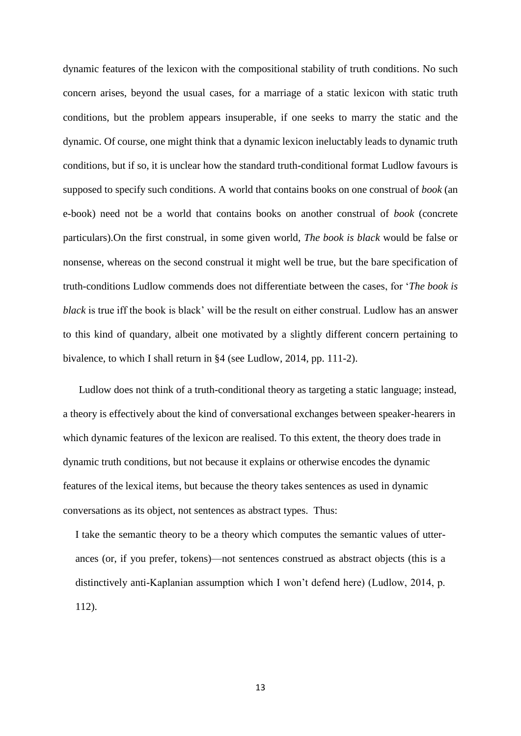dynamic features of the lexicon with the compositional stability of truth conditions. No such concern arises, beyond the usual cases, for a marriage of a static lexicon with static truth conditions, but the problem appears insuperable, if one seeks to marry the static and the dynamic. Of course, one might think that a dynamic lexicon ineluctably leads to dynamic truth conditions, but if so, it is unclear how the standard truth-conditional format Ludlow favours is supposed to specify such conditions. A world that contains books on one construal of *book* (an e-book) need not be a world that contains books on another construal of *book* (concrete particulars).On the first construal, in some given world, *The book is black* would be false or nonsense, whereas on the second construal it might well be true, but the bare specification of truth-conditions Ludlow commends does not differentiate between the cases, for '*The book is black* is true iff the book is black' will be the result on either construal. Ludlow has an answer to this kind of quandary, albeit one motivated by a slightly different concern pertaining to bivalence, to which I shall return in §4 (see Ludlow, 2014, pp. 111-2).

 Ludlow does not think of a truth-conditional theory as targeting a static language; instead, a theory is effectively about the kind of conversational exchanges between speaker-hearers in which dynamic features of the lexicon are realised. To this extent, the theory does trade in dynamic truth conditions, but not because it explains or otherwise encodes the dynamic features of the lexical items, but because the theory takes sentences as used in dynamic conversations as its object, not sentences as abstract types. Thus:

I take the semantic theory to be a theory which computes the semantic values of utterances (or, if you prefer, tokens)—not sentences construed as abstract objects (this is a distinctively anti-Kaplanian assumption which I won't defend here) (Ludlow, 2014, p. 112).

13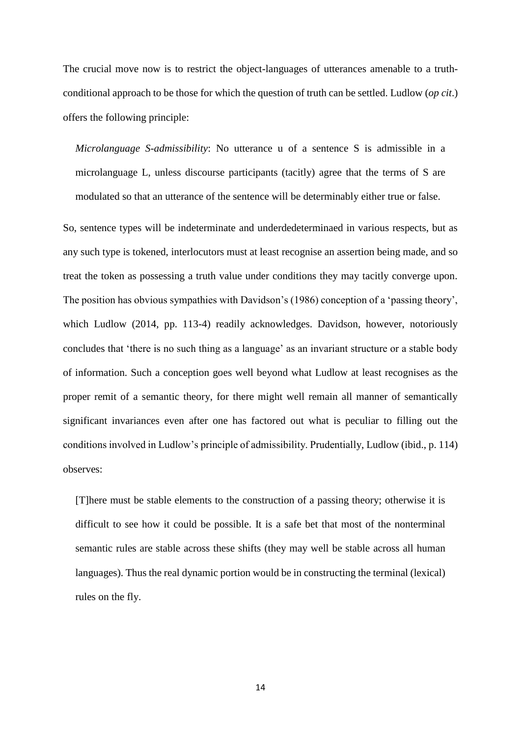The crucial move now is to restrict the object-languages of utterances amenable to a truthconditional approach to be those for which the question of truth can be settled. Ludlow (*op cit*.) offers the following principle:

*Microlanguage S-admissibility*: No utterance u of a sentence S is admissible in a microlanguage L, unless discourse participants (tacitly) agree that the terms of S are modulated so that an utterance of the sentence will be determinably either true or false.

So, sentence types will be indeterminate and underdedeterminaed in various respects, but as any such type is tokened, interlocutors must at least recognise an assertion being made, and so treat the token as possessing a truth value under conditions they may tacitly converge upon. The position has obvious sympathies with Davidson's (1986) conception of a 'passing theory', which Ludlow (2014, pp. 113-4) readily acknowledges. Davidson, however, notoriously concludes that 'there is no such thing as a language' as an invariant structure or a stable body of information. Such a conception goes well beyond what Ludlow at least recognises as the proper remit of a semantic theory, for there might well remain all manner of semantically significant invariances even after one has factored out what is peculiar to filling out the conditions involved in Ludlow's principle of admissibility. Prudentially, Ludlow (ibid., p. 114) observes:

[T]here must be stable elements to the construction of a passing theory; otherwise it is difficult to see how it could be possible. It is a safe bet that most of the nonterminal semantic rules are stable across these shifts (they may well be stable across all human languages). Thus the real dynamic portion would be in constructing the terminal (lexical) rules on the fly.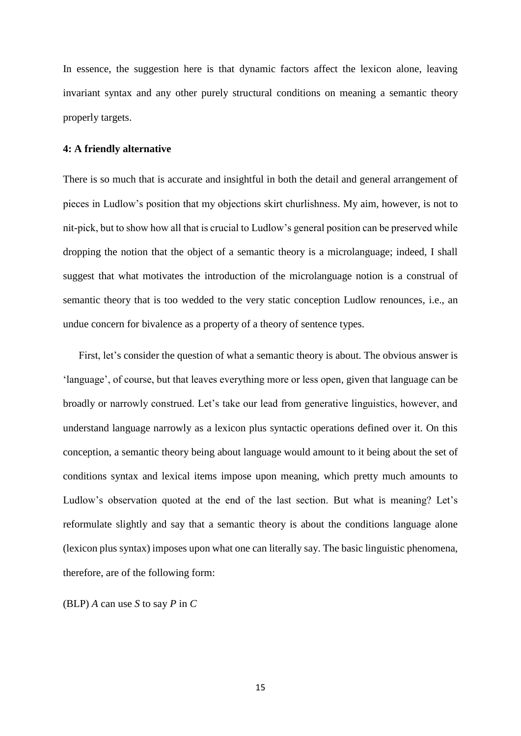In essence, the suggestion here is that dynamic factors affect the lexicon alone, leaving invariant syntax and any other purely structural conditions on meaning a semantic theory properly targets.

# **4: A friendly alternative**

There is so much that is accurate and insightful in both the detail and general arrangement of pieces in Ludlow's position that my objections skirt churlishness. My aim, however, is not to nit-pick, but to show how all that is crucial to Ludlow's general position can be preserved while dropping the notion that the object of a semantic theory is a microlanguage; indeed, I shall suggest that what motivates the introduction of the microlanguage notion is a construal of semantic theory that is too wedded to the very static conception Ludlow renounces, i.e., an undue concern for bivalence as a property of a theory of sentence types.

 First, let's consider the question of what a semantic theory is about. The obvious answer is 'language', of course, but that leaves everything more or less open, given that language can be broadly or narrowly construed. Let's take our lead from generative linguistics, however, and understand language narrowly as a lexicon plus syntactic operations defined over it. On this conception, a semantic theory being about language would amount to it being about the set of conditions syntax and lexical items impose upon meaning, which pretty much amounts to Ludlow's observation quoted at the end of the last section. But what is meaning? Let's reformulate slightly and say that a semantic theory is about the conditions language alone (lexicon plus syntax) imposes upon what one can literally say. The basic linguistic phenomena, therefore, are of the following form:

(BLP) *A* can use *S* to say *P* in *C*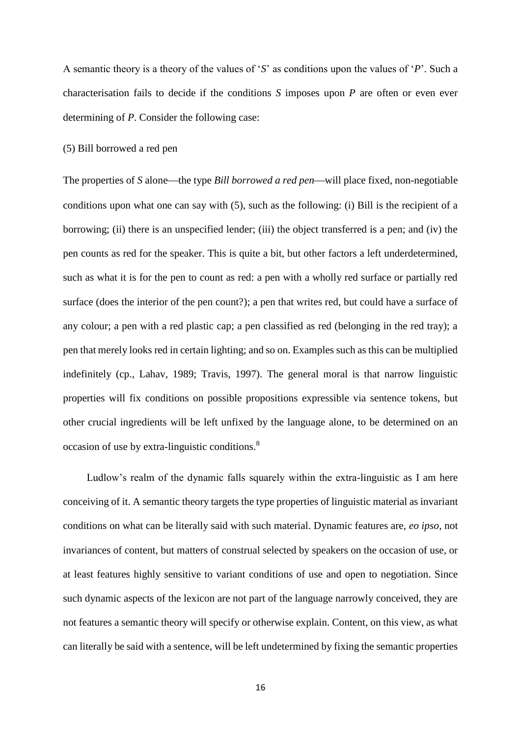A semantic theory is a theory of the values of '*S*' as conditions upon the values of '*P*'. Such a characterisation fails to decide if the conditions *S* imposes upon *P* are often or even ever determining of *P*. Consider the following case:

#### (5) Bill borrowed a red pen

The properties of *S* alone—the type *Bill borrowed a red pen—will place fixed, non-negotiable* conditions upon what one can say with (5), such as the following: (i) Bill is the recipient of a borrowing; (ii) there is an unspecified lender; (iii) the object transferred is a pen; and (iv) the pen counts as red for the speaker. This is quite a bit, but other factors a left underdetermined, such as what it is for the pen to count as red: a pen with a wholly red surface or partially red surface (does the interior of the pen count?); a pen that writes red, but could have a surface of any colour; a pen with a red plastic cap; a pen classified as red (belonging in the red tray); a pen that merely looks red in certain lighting; and so on. Examples such as this can be multiplied indefinitely (cp., Lahav, 1989; Travis, 1997). The general moral is that narrow linguistic properties will fix conditions on possible propositions expressible via sentence tokens, but other crucial ingredients will be left unfixed by the language alone, to be determined on an occasion of use by extra-linguistic conditions.<sup>8</sup>

 Ludlow's realm of the dynamic falls squarely within the extra-linguistic as I am here conceiving of it. A semantic theory targets the type properties of linguistic material as invariant conditions on what can be literally said with such material. Dynamic features are, *eo ipso*, not invariances of content, but matters of construal selected by speakers on the occasion of use, or at least features highly sensitive to variant conditions of use and open to negotiation. Since such dynamic aspects of the lexicon are not part of the language narrowly conceived, they are not features a semantic theory will specify or otherwise explain. Content, on this view, as what can literally be said with a sentence, will be left undetermined by fixing the semantic properties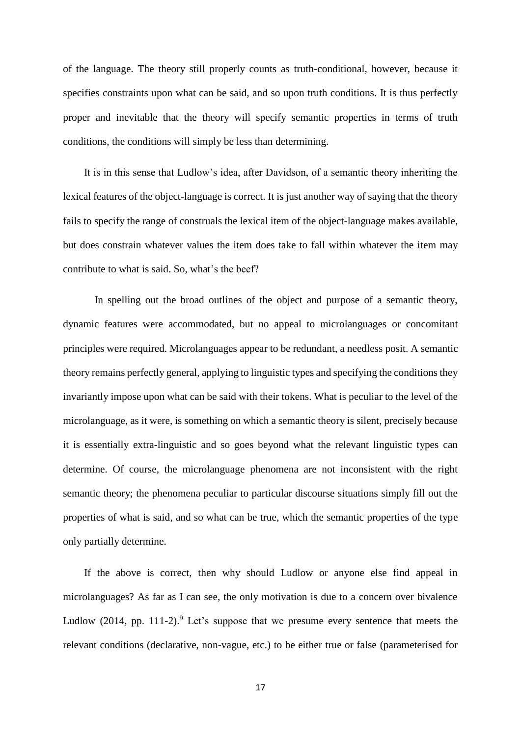of the language. The theory still properly counts as truth-conditional, however, because it specifies constraints upon what can be said, and so upon truth conditions. It is thus perfectly proper and inevitable that the theory will specify semantic properties in terms of truth conditions, the conditions will simply be less than determining.

 It is in this sense that Ludlow's idea, after Davidson, of a semantic theory inheriting the lexical features of the object-language is correct. It is just another way of saying that the theory fails to specify the range of construals the lexical item of the object-language makes available, but does constrain whatever values the item does take to fall within whatever the item may contribute to what is said. So, what's the beef?

 In spelling out the broad outlines of the object and purpose of a semantic theory, dynamic features were accommodated, but no appeal to microlanguages or concomitant principles were required. Microlanguages appear to be redundant, a needless posit. A semantic theory remains perfectly general, applying to linguistic types and specifying the conditions they invariantly impose upon what can be said with their tokens. What is peculiar to the level of the microlanguage, as it were, is something on which a semantic theory is silent, precisely because it is essentially extra-linguistic and so goes beyond what the relevant linguistic types can determine. Of course, the microlanguage phenomena are not inconsistent with the right semantic theory; the phenomena peculiar to particular discourse situations simply fill out the properties of what is said, and so what can be true, which the semantic properties of the type only partially determine.

 If the above is correct, then why should Ludlow or anyone else find appeal in microlanguages? As far as I can see, the only motivation is due to a concern over bivalence Ludlow (2014, pp. 111-2).<sup>9</sup> Let's suppose that we presume every sentence that meets the relevant conditions (declarative, non-vague, etc.) to be either true or false (parameterised for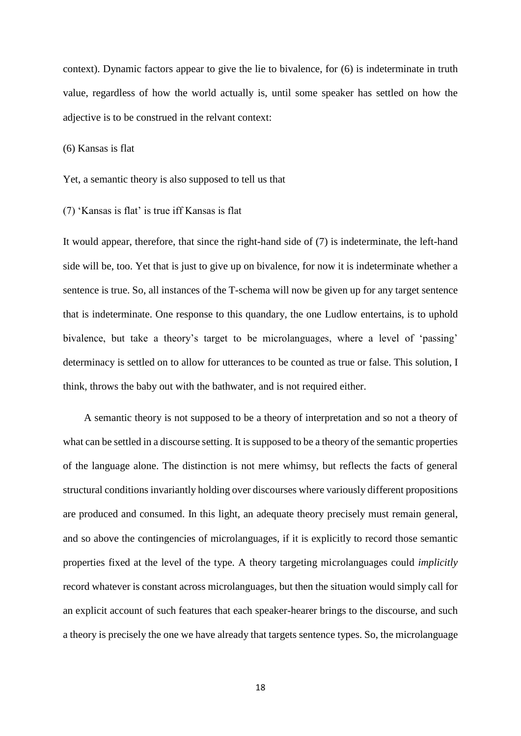context). Dynamic factors appear to give the lie to bivalence, for (6) is indeterminate in truth value, regardless of how the world actually is, until some speaker has settled on how the adjective is to be construed in the relvant context:

(6) Kansas is flat

Yet, a semantic theory is also supposed to tell us that

(7) 'Kansas is flat' is true iff Kansas is flat

It would appear, therefore, that since the right-hand side of (7) is indeterminate, the left-hand side will be, too. Yet that is just to give up on bivalence, for now it is indeterminate whether a sentence is true. So, all instances of the T-schema will now be given up for any target sentence that is indeterminate. One response to this quandary, the one Ludlow entertains, is to uphold bivalence, but take a theory's target to be microlanguages, where a level of 'passing' determinacy is settled on to allow for utterances to be counted as true or false. This solution, I think, throws the baby out with the bathwater, and is not required either.

 A semantic theory is not supposed to be a theory of interpretation and so not a theory of what can be settled in a discourse setting. It is supposed to be a theory of the semantic properties of the language alone. The distinction is not mere whimsy, but reflects the facts of general structural conditions invariantly holding over discourses where variously different propositions are produced and consumed. In this light, an adequate theory precisely must remain general, and so above the contingencies of microlanguages, if it is explicitly to record those semantic properties fixed at the level of the type. A theory targeting microlanguages could *implicitly* record whatever is constant across microlanguages, but then the situation would simply call for an explicit account of such features that each speaker-hearer brings to the discourse, and such a theory is precisely the one we have already that targets sentence types. So, the microlanguage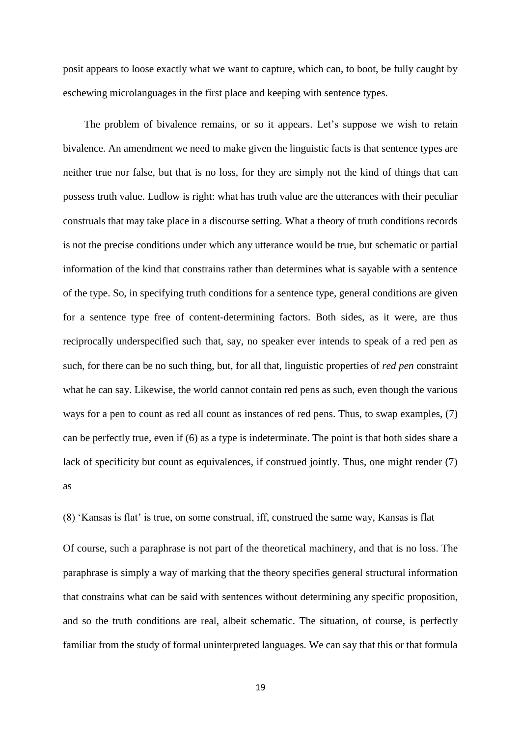posit appears to loose exactly what we want to capture, which can, to boot, be fully caught by eschewing microlanguages in the first place and keeping with sentence types.

 The problem of bivalence remains, or so it appears. Let's suppose we wish to retain bivalence. An amendment we need to make given the linguistic facts is that sentence types are neither true nor false, but that is no loss, for they are simply not the kind of things that can possess truth value. Ludlow is right: what has truth value are the utterances with their peculiar construals that may take place in a discourse setting. What a theory of truth conditions records is not the precise conditions under which any utterance would be true, but schematic or partial information of the kind that constrains rather than determines what is sayable with a sentence of the type. So, in specifying truth conditions for a sentence type, general conditions are given for a sentence type free of content-determining factors. Both sides, as it were, are thus reciprocally underspecified such that, say, no speaker ever intends to speak of a red pen as such, for there can be no such thing, but, for all that, linguistic properties of *red pen* constraint what he can say. Likewise, the world cannot contain red pens as such, even though the various ways for a pen to count as red all count as instances of red pens. Thus, to swap examples, (7) can be perfectly true, even if (6) as a type is indeterminate. The point is that both sides share a lack of specificity but count as equivalences, if construed jointly. Thus, one might render (7) as

(8) 'Kansas is flat' is true, on some construal, iff, construed the same way, Kansas is flat

Of course, such a paraphrase is not part of the theoretical machinery, and that is no loss. The paraphrase is simply a way of marking that the theory specifies general structural information that constrains what can be said with sentences without determining any specific proposition, and so the truth conditions are real, albeit schematic. The situation, of course, is perfectly familiar from the study of formal uninterpreted languages. We can say that this or that formula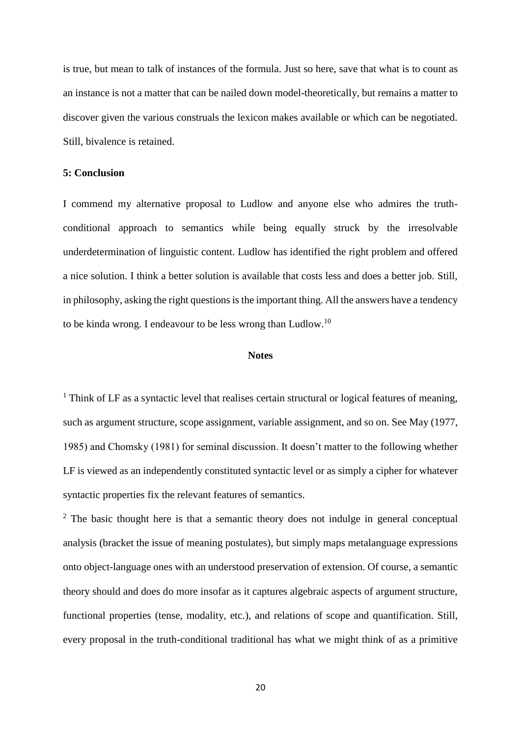is true, but mean to talk of instances of the formula. Just so here, save that what is to count as an instance is not a matter that can be nailed down model-theoretically, but remains a matter to discover given the various construals the lexicon makes available or which can be negotiated. Still, bivalence is retained.

# **5: Conclusion**

I commend my alternative proposal to Ludlow and anyone else who admires the truthconditional approach to semantics while being equally struck by the irresolvable underdetermination of linguistic content. Ludlow has identified the right problem and offered a nice solution. I think a better solution is available that costs less and does a better job. Still, in philosophy, asking the right questions is the important thing. All the answers have a tendency to be kinda wrong. I endeavour to be less wrong than Ludlow.<sup>10</sup>

#### **Notes**

 $<sup>1</sup>$  Think of LF as a syntactic level that realises certain structural or logical features of meaning,</sup> such as argument structure, scope assignment, variable assignment, and so on. See May (1977, 1985) and Chomsky (1981) for seminal discussion. It doesn't matter to the following whether LF is viewed as an independently constituted syntactic level or as simply a cipher for whatever syntactic properties fix the relevant features of semantics.

 $2$  The basic thought here is that a semantic theory does not indulge in general conceptual analysis (bracket the issue of meaning postulates), but simply maps metalanguage expressions onto object-language ones with an understood preservation of extension. Of course, a semantic theory should and does do more insofar as it captures algebraic aspects of argument structure, functional properties (tense, modality, etc.), and relations of scope and quantification. Still, every proposal in the truth-conditional traditional has what we might think of as a primitive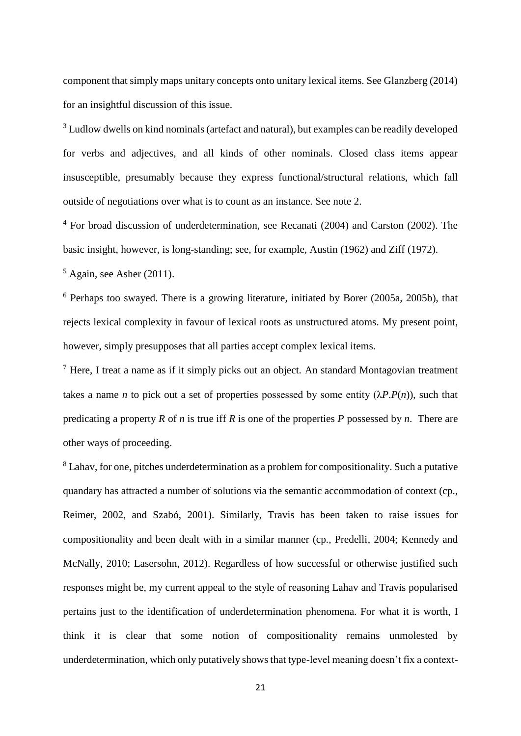component that simply maps unitary concepts onto unitary lexical items. See Glanzberg (2014) for an insightful discussion of this issue.

<sup>3</sup> Ludlow dwells on kind nominals (artefact and natural), but examples can be readily developed for verbs and adjectives, and all kinds of other nominals. Closed class items appear insusceptible, presumably because they express functional/structural relations, which fall outside of negotiations over what is to count as an instance. See note 2.

<sup>4</sup> For broad discussion of underdetermination, see Recanati (2004) and Carston (2002). The basic insight, however, is long-standing; see, for example, Austin (1962) and Ziff (1972).

 $<sup>5</sup>$  Again, see Asher (2011).</sup>

<sup>6</sup> Perhaps too swayed. There is a growing literature, initiated by Borer (2005a, 2005b), that rejects lexical complexity in favour of lexical roots as unstructured atoms. My present point, however, simply presupposes that all parties accept complex lexical items.

 $<sup>7</sup>$  Here, I treat a name as if it simply picks out an object. An standard Montagovian treatment</sup> takes a name *n* to pick out a set of properties possessed by some entity  $(\lambda P.P(n))$ , such that predicating a property *R* of *n* is true iff *R* is one of the properties *P* possessed by *n*. There are other ways of proceeding.

<sup>8</sup> Lahav, for one, pitches underdetermination as a problem for compositionality. Such a putative quandary has attracted a number of solutions via the semantic accommodation of context (cp., Reimer, 2002, and Szabó, 2001). Similarly, Travis has been taken to raise issues for compositionality and been dealt with in a similar manner (cp., Predelli, 2004; Kennedy and McNally, 2010; Lasersohn, 2012). Regardless of how successful or otherwise justified such responses might be, my current appeal to the style of reasoning Lahav and Travis popularised pertains just to the identification of underdetermination phenomena. For what it is worth, I think it is clear that some notion of compositionality remains unmolested by underdetermination, which only putatively shows that type-level meaning doesn't fix a context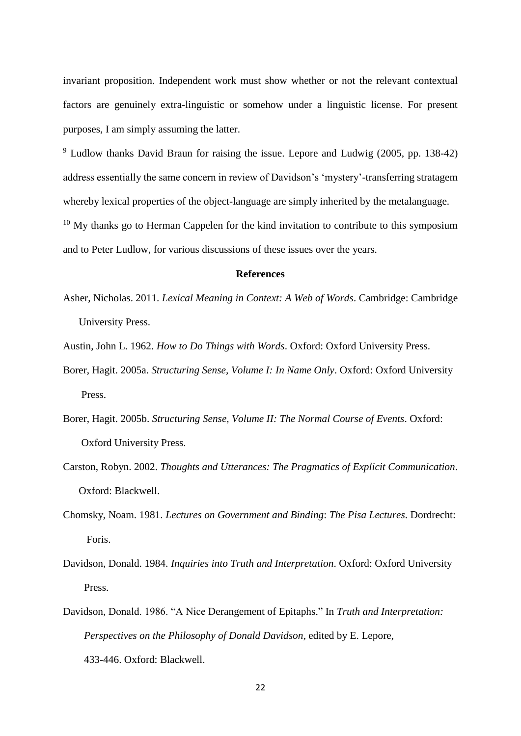invariant proposition. Independent work must show whether or not the relevant contextual factors are genuinely extra-linguistic or somehow under a linguistic license. For present purposes, I am simply assuming the latter.

<sup>9</sup> Ludlow thanks David Braun for raising the issue. Lepore and Ludwig (2005, pp. 138-42) address essentially the same concern in review of Davidson's 'mystery'-transferring stratagem whereby lexical properties of the object-language are simply inherited by the metalanguage.  $10$  My thanks go to Herman Cappelen for the kind invitation to contribute to this symposium and to Peter Ludlow, for various discussions of these issues over the years.

## **References**

- Asher, Nicholas. 2011. *Lexical Meaning in Context: A Web of Words*. Cambridge: Cambridge University Press.
- Austin, John L. 1962. *How to Do Things with Words*. Oxford: Oxford University Press.
- Borer, Hagit. 2005a. *Structuring Sense, Volume I: In Name Only*. Oxford: Oxford University Press.
- Borer, Hagit. 2005b. *Structuring Sense, Volume II: The Normal Course of Events*. Oxford: Oxford University Press.
- Carston, Robyn. 2002. *Thoughts and Utterances: The Pragmatics of Explicit Communication*. Oxford: Blackwell.
- Chomsky, Noam. 1981. *Lectures on Government and Binding*: *The Pisa Lectures*. Dordrecht: Foris.
- Davidson, Donald. 1984. *Inquiries into Truth and Interpretation*. Oxford: Oxford University Press.
- Davidson, Donald. 1986. "A Nice Derangement of Epitaphs." In *Truth and Interpretation: Perspectives on the Philosophy of Donald Davidson*, edited by E. Lepore, 433-446. Oxford: Blackwell.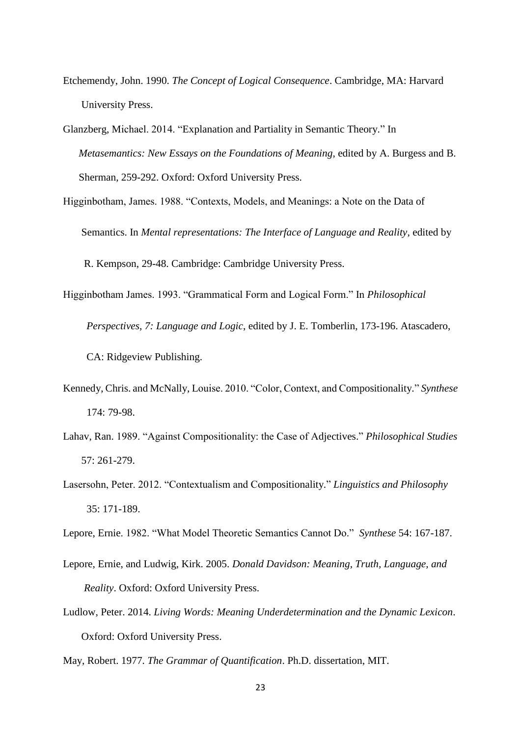- Etchemendy, John. 1990. *The Concept of Logical Consequence*. Cambridge, MA: Harvard University Press.
- Glanzberg, Michael. 2014. "Explanation and Partiality in Semantic Theory." In *Metasemantics: New Essays on the Foundations of Meaning*, edited by A. Burgess and B. Sherman, 259-292. Oxford: Oxford University Press.
- Higginbotham, James. 1988. "Contexts, Models, and Meanings: a Note on the Data of Semantics. In *Mental representations: The Interface of Language and Reality*, edited by R. Kempson, 29-48. Cambridge: Cambridge University Press.
- Higginbotham James. 1993. "Grammatical Form and Logical Form." In *Philosophical*

 *Perspectives, 7: Language and Logic*, edited by J. E. Tomberlin, 173-196. Atascadero,

CA: Ridgeview Publishing.

- Kennedy, Chris. and McNally, Louise. 2010. "Color, Context, and Compositionality." *Synthese* 174: 79-98.
- Lahav, Ran. 1989. "Against Compositionality: the Case of Adjectives." *Philosophical Studies* 57: 261-279.
- Lasersohn, Peter. 2012. "Contextualism and Compositionality." *Linguistics and Philosophy* 35: 171-189.

Lepore, Ernie. 1982. "What Model Theoretic Semantics Cannot Do." *Synthese* 54: 167-187.

- Lepore, Ernie, and Ludwig, Kirk. 2005. *Donald Davidson: Meaning, Truth, Language, and Reality*. Oxford: Oxford University Press.
- Ludlow, Peter. 2014. *Living Words: Meaning Underdetermination and the Dynamic Lexicon*. Oxford: Oxford University Press.

May, Robert. 1977. *The Grammar of Quantification*. Ph.D. dissertation, MIT.